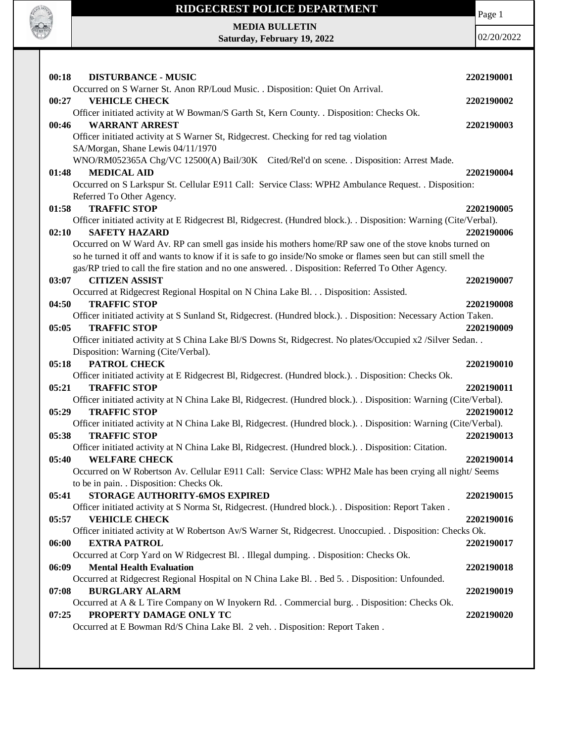

Page 1

**MEDIA BULLETIN Saturday, February 19, 2022**

| 00:18 | <b>DISTURBANCE - MUSIC</b>                                                                                         | 2202190001 |
|-------|--------------------------------------------------------------------------------------------------------------------|------------|
|       | Occurred on S Warner St. Anon RP/Loud Music. . Disposition: Quiet On Arrival.                                      |            |
| 00:27 | <b>VEHICLE CHECK</b>                                                                                               | 2202190002 |
|       | Officer initiated activity at W Bowman/S Garth St, Kern County. . Disposition: Checks Ok.                          |            |
| 00:46 | <b>WARRANT ARREST</b>                                                                                              | 2202190003 |
|       | Officer initiated activity at S Warner St, Ridgecrest. Checking for red tag violation                              |            |
|       | SA/Morgan, Shane Lewis 04/11/1970                                                                                  |            |
|       | WNO/RM052365A Chg/VC 12500(A) Bail/30K Cited/Rel'd on scene. . Disposition: Arrest Made.                           |            |
| 01:48 | <b>MEDICAL AID</b>                                                                                                 | 2202190004 |
|       | Occurred on S Larkspur St. Cellular E911 Call: Service Class: WPH2 Ambulance Request. . Disposition:               |            |
|       | Referred To Other Agency.                                                                                          |            |
| 01:58 | <b>TRAFFIC STOP</b>                                                                                                | 2202190005 |
|       | Officer initiated activity at E Ridgecrest Bl, Ridgecrest. (Hundred block.). Disposition: Warning (Cite/Verbal).   |            |
| 02:10 | <b>SAFETY HAZARD</b>                                                                                               | 2202190006 |
|       | Occurred on W Ward Av. RP can smell gas inside his mothers home/RP saw one of the stove knobs turned on            |            |
|       | so he turned it off and wants to know if it is safe to go inside/No smoke or flames seen but can still smell the   |            |
|       | gas/RP tried to call the fire station and no one answered. . Disposition: Referred To Other Agency.                |            |
| 03:07 | <b>CITIZEN ASSIST</b>                                                                                              | 2202190007 |
|       | Occurred at Ridgecrest Regional Hospital on N China Lake Bl. Disposition: Assisted.                                |            |
| 04:50 | <b>TRAFFIC STOP</b>                                                                                                | 2202190008 |
|       | Officer initiated activity at S Sunland St, Ridgecrest. (Hundred block.). . Disposition: Necessary Action Taken.   |            |
| 05:05 | <b>TRAFFIC STOP</b>                                                                                                | 2202190009 |
|       | Officer initiated activity at S China Lake Bl/S Downs St, Ridgecrest. No plates/Occupied x2 / Silver Sedan         |            |
|       | Disposition: Warning (Cite/Verbal).                                                                                |            |
|       |                                                                                                                    |            |
| 05:18 | <b>PATROL CHECK</b>                                                                                                | 2202190010 |
|       | Officer initiated activity at E Ridgecrest Bl, Ridgecrest. (Hundred block.). Disposition: Checks Ok.               |            |
| 05:21 | <b>TRAFFIC STOP</b>                                                                                                | 2202190011 |
|       | Officer initiated activity at N China Lake Bl, Ridgecrest. (Hundred block.). . Disposition: Warning (Cite/Verbal). |            |
| 05:29 | <b>TRAFFIC STOP</b>                                                                                                | 2202190012 |
|       | Officer initiated activity at N China Lake Bl, Ridgecrest. (Hundred block.). . Disposition: Warning (Cite/Verbal). |            |
| 05:38 | <b>TRAFFIC STOP</b>                                                                                                | 2202190013 |
|       | Officer initiated activity at N China Lake Bl, Ridgecrest. (Hundred block.). Disposition: Citation.                |            |
| 05:40 | <b>WELFARE CHECK</b>                                                                                               | 2202190014 |
|       | Occurred on W Robertson Av. Cellular E911 Call: Service Class: WPH2 Male has been crying all night/ Seems          |            |
|       | to be in pain. . Disposition: Checks Ok.                                                                           |            |
| 05:41 | STORAGE AUTHORITY-6MOS EXPIRED                                                                                     | 2202190015 |
|       | Officer initiated activity at S Norma St, Ridgecrest. (Hundred block.). . Disposition: Report Taken.               |            |
| 05:57 | <b>VEHICLE CHECK</b>                                                                                               | 2202190016 |
|       | Officer initiated activity at W Robertson Av/S Warner St, Ridgecrest. Unoccupied. . Disposition: Checks Ok.        |            |
| 06:00 | <b>EXTRA PATROL</b>                                                                                                | 2202190017 |
|       | Occurred at Corp Yard on W Ridgecrest Bl. . Illegal dumping. . Disposition: Checks Ok.                             |            |
| 06:09 | <b>Mental Health Evaluation</b>                                                                                    | 2202190018 |
|       | Occurred at Ridgecrest Regional Hospital on N China Lake Bl. . Bed 5. . Disposition: Unfounded.                    |            |
| 07:08 | <b>BURGLARY ALARM</b>                                                                                              | 2202190019 |
|       | Occurred at A & L Tire Company on W Inyokern Rd. . Commercial burg. . Disposition: Checks Ok.                      |            |
| 07:25 | PROPERTY DAMAGE ONLY TC<br>Occurred at E Bowman Rd/S China Lake Bl. 2 veh. . Disposition: Report Taken.            | 2202190020 |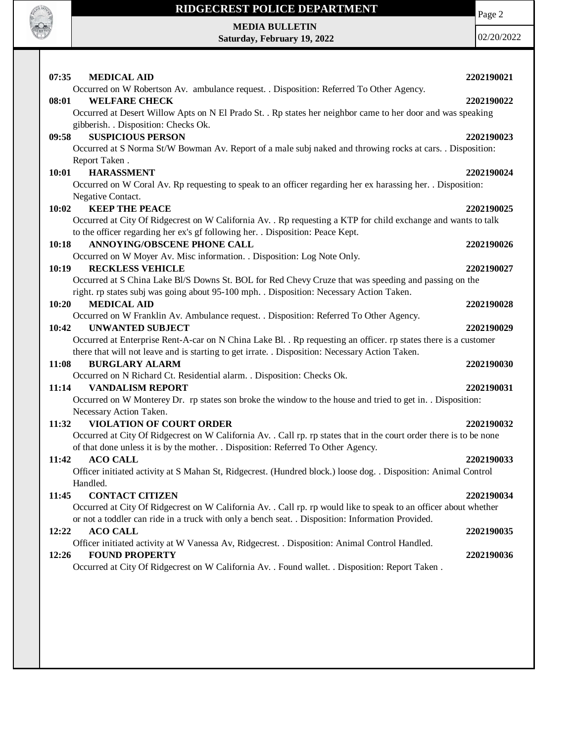

Page 2

**MEDIA BULLETIN Saturday, February 19, 2022**

| 07:35<br><b>MEDICAL AID</b>                                                                                         | 2202190021 |
|---------------------------------------------------------------------------------------------------------------------|------------|
| Occurred on W Robertson Av. ambulance request. . Disposition: Referred To Other Agency.                             |            |
| <b>WELFARE CHECK</b><br>08:01                                                                                       | 2202190022 |
| Occurred at Desert Willow Apts on N El Prado St. . Rp states her neighbor came to her door and was speaking         |            |
| gibberish. . Disposition: Checks Ok.                                                                                |            |
| <b>SUSPICIOUS PERSON</b><br>09:58                                                                                   | 2202190023 |
| Occurred at S Norma St/W Bowman Av. Report of a male subj naked and throwing rocks at cars. . Disposition:          |            |
| Report Taken.                                                                                                       |            |
| <b>HARASSMENT</b><br>10:01                                                                                          | 2202190024 |
| Occurred on W Coral Av. Rp requesting to speak to an officer regarding her ex harassing her. . Disposition:         |            |
| Negative Contact.<br>10:02<br><b>KEEP THE PEACE</b>                                                                 | 2202190025 |
| Occurred at City Of Ridgecrest on W California Av. . Rp requesting a KTP for child exchange and wants to talk       |            |
| to the officer regarding her ex's gf following her. . Disposition: Peace Kept.                                      |            |
| <b>ANNOYING/OBSCENE PHONE CALL</b><br>10:18                                                                         | 2202190026 |
| Occurred on W Moyer Av. Misc information. . Disposition: Log Note Only.                                             |            |
| <b>RECKLESS VEHICLE</b><br>10:19                                                                                    | 2202190027 |
| Occurred at S China Lake Bl/S Downs St. BOL for Red Chevy Cruze that was speeding and passing on the                |            |
| right. rp states subj was going about 95-100 mph. . Disposition: Necessary Action Taken.                            |            |
| <b>MEDICAL AID</b><br>10:20                                                                                         | 2202190028 |
| Occurred on W Franklin Av. Ambulance request. . Disposition: Referred To Other Agency.                              |            |
| <b>UNWANTED SUBJECT</b><br>10:42                                                                                    | 2202190029 |
| Occurred at Enterprise Rent-A-car on N China Lake Bl. . Rp requesting an officer. rp states there is a customer     |            |
| there that will not leave and is starting to get irrate. . Disposition: Necessary Action Taken.                     |            |
| <b>BURGLARY ALARM</b><br>11:08                                                                                      | 2202190030 |
| Occurred on N Richard Ct. Residential alarm. . Disposition: Checks Ok.                                              |            |
| <b>VANDALISM REPORT</b><br>11:14                                                                                    | 2202190031 |
| Occurred on W Monterey Dr. rp states son broke the window to the house and tried to get in. . Disposition:          |            |
| Necessary Action Taken.                                                                                             |            |
| <b>VIOLATION OF COURT ORDER</b><br>11:32                                                                            | 2202190032 |
| Occurred at City Of Ridgecrest on W California Av. . Call rp. rp states that in the court order there is to be none |            |
| of that done unless it is by the mother. . Disposition: Referred To Other Agency.                                   |            |
| <b>ACO CALL</b><br>11:42                                                                                            | 2202190033 |
| Officer initiated activity at S Mahan St, Ridgecrest. (Hundred block.) loose dog. . Disposition: Animal Control     |            |
| Handled.                                                                                                            |            |
| <b>CONTACT CITIZEN</b><br>11:45                                                                                     | 2202190034 |
| Occurred at City Of Ridgecrest on W California Av. . Call rp. rp would like to speak to an officer about whether    |            |
| or not a toddler can ride in a truck with only a bench seat. . Disposition: Information Provided.                   |            |
| <b>ACO CALL</b><br>12:22                                                                                            | 2202190035 |
| Officer initiated activity at W Vanessa Av, Ridgecrest. . Disposition: Animal Control Handled.                      |            |
| <b>FOUND PROPERTY</b><br>12:26                                                                                      | 2202190036 |
| Occurred at City Of Ridgecrest on W California Av. . Found wallet. . Disposition: Report Taken.                     |            |
|                                                                                                                     |            |
|                                                                                                                     |            |
|                                                                                                                     |            |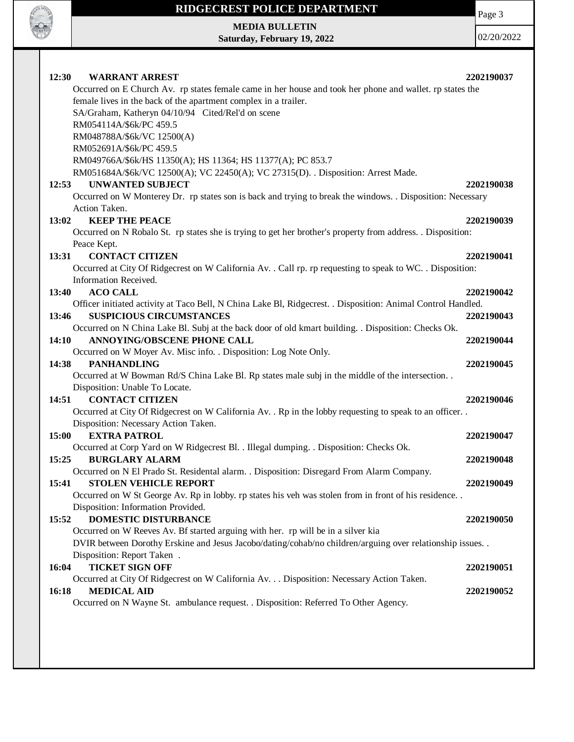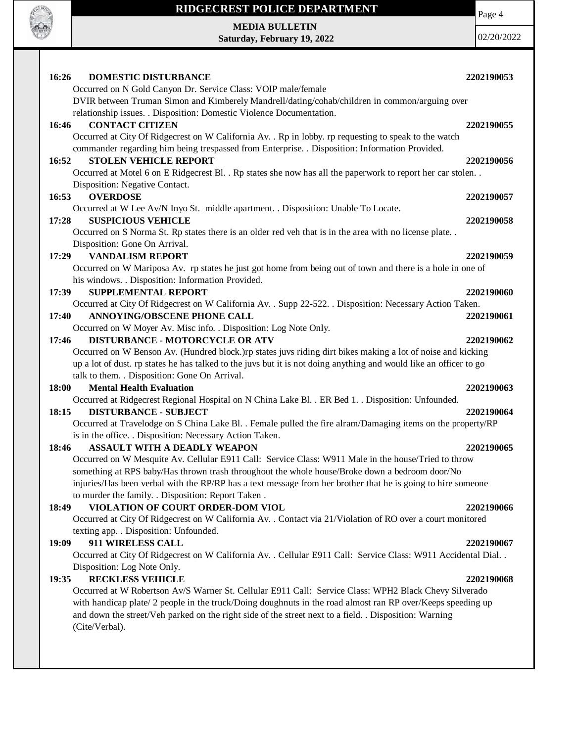

Page 4

**MEDIA BULLETIN Saturday, February 19, 2022**

| 16:26<br><b>DOMESTIC DISTURBANCE</b>                                                                                                                                                                                 | 2202190053 |  |
|----------------------------------------------------------------------------------------------------------------------------------------------------------------------------------------------------------------------|------------|--|
| Occurred on N Gold Canyon Dr. Service Class: VOIP male/female                                                                                                                                                        |            |  |
| DVIR between Truman Simon and Kimberely Mandrell/dating/cohab/children in common/arguing over                                                                                                                        |            |  |
| relationship issues. . Disposition: Domestic Violence Documentation.                                                                                                                                                 |            |  |
| <b>CONTACT CITIZEN</b><br>16:46                                                                                                                                                                                      | 2202190055 |  |
| Occurred at City Of Ridgecrest on W California Av. . Rp in lobby. rp requesting to speak to the watch                                                                                                                |            |  |
| commander regarding him being trespassed from Enterprise. . Disposition: Information Provided.                                                                                                                       |            |  |
| <b>STOLEN VEHICLE REPORT</b><br>16:52                                                                                                                                                                                | 2202190056 |  |
| Occurred at Motel 6 on E Ridgecrest Bl. . Rp states she now has all the paperwork to report her car stolen                                                                                                           |            |  |
| Disposition: Negative Contact.                                                                                                                                                                                       |            |  |
| 16:53<br><b>OVERDOSE</b>                                                                                                                                                                                             | 2202190057 |  |
| Occurred at W Lee Av/N Inyo St. middle apartment. . Disposition: Unable To Locate.                                                                                                                                   |            |  |
| 17:28<br><b>SUSPICIOUS VEHICLE</b>                                                                                                                                                                                   | 2202190058 |  |
| Occurred on S Norma St. Rp states there is an older red veh that is in the area with no license plate. .                                                                                                             |            |  |
| Disposition: Gone On Arrival.                                                                                                                                                                                        |            |  |
| <b>VANDALISM REPORT</b><br>17:29                                                                                                                                                                                     | 2202190059 |  |
| Occurred on W Mariposa Av. rp states he just got home from being out of town and there is a hole in one of                                                                                                           |            |  |
| his windows. . Disposition: Information Provided.                                                                                                                                                                    |            |  |
| <b>SUPPLEMENTAL REPORT</b><br>17:39                                                                                                                                                                                  | 2202190060 |  |
| Occurred at City Of Ridgecrest on W California Av. . Supp 22-522. . Disposition: Necessary Action Taken.                                                                                                             |            |  |
| <b>ANNOYING/OBSCENE PHONE CALL</b><br>17:40                                                                                                                                                                          | 2202190061 |  |
| Occurred on W Moyer Av. Misc info. . Disposition: Log Note Only.                                                                                                                                                     |            |  |
| <b>DISTURBANCE - MOTORCYCLE OR ATV</b><br>17:46                                                                                                                                                                      | 2202190062 |  |
| Occurred on W Benson Av. (Hundred block.)rp states juvs riding dirt bikes making a lot of noise and kicking                                                                                                          |            |  |
| up a lot of dust. rp states he has talked to the juvs but it is not doing anything and would like an officer to go                                                                                                   |            |  |
| talk to them. . Disposition: Gone On Arrival.                                                                                                                                                                        |            |  |
| 18:00<br><b>Mental Health Evaluation</b>                                                                                                                                                                             | 2202190063 |  |
| Occurred at Ridgecrest Regional Hospital on N China Lake Bl. . ER Bed 1. . Disposition: Unfounded.                                                                                                                   |            |  |
| 18:15<br><b>DISTURBANCE - SUBJECT</b>                                                                                                                                                                                | 2202190064 |  |
| Occurred at Travelodge on S China Lake Bl. . Female pulled the fire alram/Damaging items on the property/RP                                                                                                          |            |  |
| is in the office. . Disposition: Necessary Action Taken.                                                                                                                                                             |            |  |
| <b>ASSAULT WITH A DEADLY WEAPON</b><br>18:46                                                                                                                                                                         | 2202190065 |  |
| Occurred on W Mesquite Av. Cellular E911 Call: Service Class: W911 Male in the house/Tried to throw                                                                                                                  |            |  |
| something at RPS baby/Has thrown trash throughout the whole house/Broke down a bedroom door/No                                                                                                                       |            |  |
| injuries/Has been verbal with the RP/RP has a text message from her brother that he is going to hire someone                                                                                                         |            |  |
| to murder the family. . Disposition: Report Taken.                                                                                                                                                                   |            |  |
| VIOLATION OF COURT ORDER-DOM VIOL<br>18:49                                                                                                                                                                           | 2202190066 |  |
| Occurred at City Of Ridgecrest on W California Av. . Contact via 21/Violation of RO over a court monitored                                                                                                           |            |  |
| texting app. . Disposition: Unfounded.                                                                                                                                                                               |            |  |
| 911 WIRELESS CALL<br>19:09                                                                                                                                                                                           | 2202190067 |  |
| Occurred at City Of Ridgecrest on W California Av. . Cellular E911 Call: Service Class: W911 Accidental Dial. .                                                                                                      |            |  |
| Disposition: Log Note Only.                                                                                                                                                                                          |            |  |
| <b>RECKLESS VEHICLE</b><br>19:35                                                                                                                                                                                     |            |  |
|                                                                                                                                                                                                                      | 2202190068 |  |
| Occurred at W Robertson Av/S Warner St. Cellular E911 Call: Service Class: WPH2 Black Chevy Silverado                                                                                                                |            |  |
| with handicap plate/2 people in the truck/Doing doughnuts in the road almost ran RP over/Keeps speeding up<br>and down the street/Veh parked on the right side of the street next to a field. . Disposition: Warning |            |  |
| (Cite/Verbal).                                                                                                                                                                                                       |            |  |
|                                                                                                                                                                                                                      |            |  |
|                                                                                                                                                                                                                      |            |  |